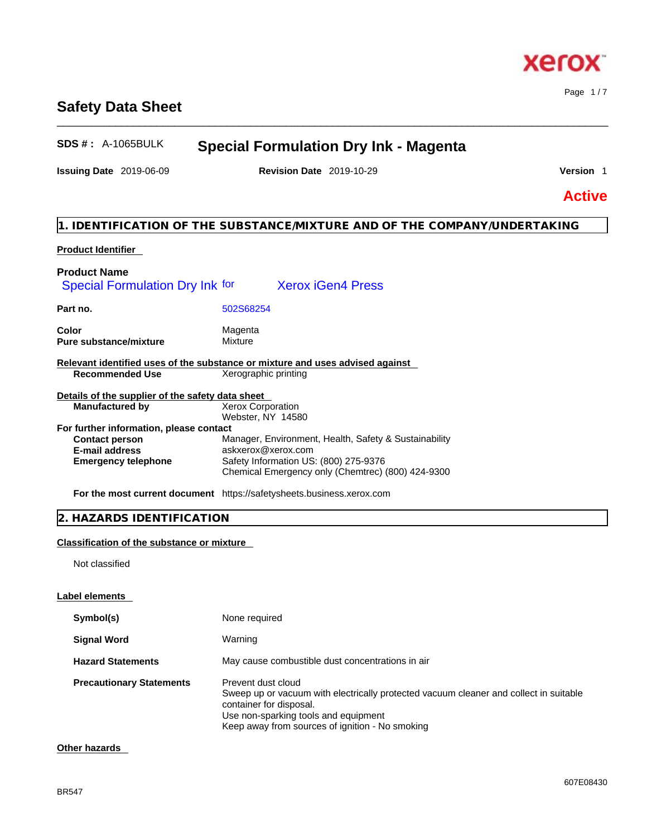# **Safety Data Sheet**

# **SDS # :** A-1065BULK **Special Formulation Dry Ink - Magenta**

**Issuing Date** 2019-06-09 **Revision Date** 2019-10-29 **Version** 1

\_\_\_\_\_\_\_\_\_\_\_\_\_\_\_\_\_\_\_\_\_\_\_\_\_\_\_\_\_\_\_\_\_\_\_\_\_\_\_\_\_\_\_\_\_\_\_\_\_\_\_\_\_\_\_\_\_\_\_\_\_\_\_\_\_\_\_\_\_\_\_\_\_\_\_\_\_\_\_\_\_\_\_\_\_\_\_\_\_\_\_\_\_\_

Page 1 / 7

**Active**

# **1. IDENTIFICATION OF THE SUBSTANCE/MIXTURE AND OF THE COMPANY/UNDERTAKING**

# **Product Identifier**

| <b>Product Name</b>                              |                                                                               |
|--------------------------------------------------|-------------------------------------------------------------------------------|
| Special Formulation Dry Ink for                  | <b>Xerox iGen4 Press</b>                                                      |
| Part no.                                         | 502S68254                                                                     |
| Color<br><b>Pure substance/mixture</b>           | Magenta<br>Mixture                                                            |
|                                                  | Relevant identified uses of the substance or mixture and uses advised against |
| <b>Recommended Use</b>                           | Xerographic printing                                                          |
| Details of the supplier of the safety data sheet |                                                                               |
| <b>Manufactured by</b>                           | <b>Xerox Corporation</b>                                                      |
|                                                  | Webster, NY 14580                                                             |
| For further information, please contact          |                                                                               |
| <b>Contact person</b>                            | Manager, Environment, Health, Safety & Sustainability                         |
| E-mail address                                   | askxerox@xerox.com                                                            |
| <b>Emergency telephone</b>                       | Safety Information US: (800) 275-9376                                         |
|                                                  | Chemical Emergency only (Chemtrec) (800) 424-9300                             |
|                                                  |                                                                               |

**For the most current document** https://safetysheets.business.xerox.com

|  |  | 2. HAZARDS IDENTIFICATION |
|--|--|---------------------------|
|--|--|---------------------------|

# **Classification of the substance or mixture**

Not classified

# **Label elements**

| Symbol(s)                       | None required                                                                                                                                                                                                                     |
|---------------------------------|-----------------------------------------------------------------------------------------------------------------------------------------------------------------------------------------------------------------------------------|
| <b>Signal Word</b>              | Warning                                                                                                                                                                                                                           |
| <b>Hazard Statements</b>        | May cause combustible dust concentrations in air                                                                                                                                                                                  |
| <b>Precautionary Statements</b> | Prevent dust cloud<br>Sweep up or vacuum with electrically protected vacuum cleaner and collect in suitable<br>container for disposal.<br>Use non-sparking tools and equipment<br>Keep away from sources of ignition - No smoking |

# **Other hazards**

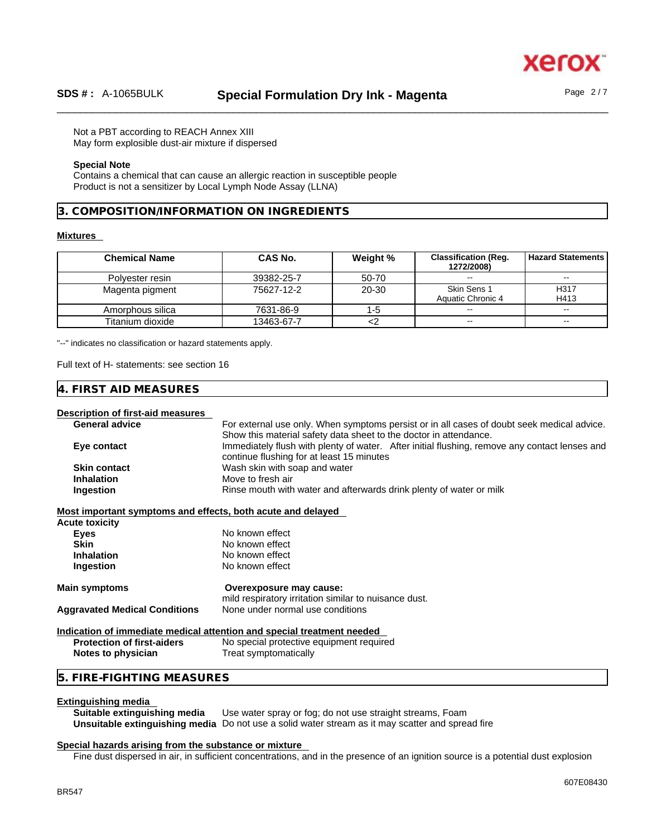

Not a PBT according to REACH Annex XIII

May form explosible dust-air mixture if dispersed

### **Special Note**

Contains a chemical that can cause an allergic reaction in susceptible people Product is not a sensitizer by Local Lymph Node Assay (LLNA)

### **3. COMPOSITION/INFORMATION ON INGREDIENTS**

#### **Mixtures**

| <b>Chemical Name</b> | CAS No.    | Weight % | <b>Classification (Reg.</b><br>1272/2008) | <b>Hazard Statements I</b> |
|----------------------|------------|----------|-------------------------------------------|----------------------------|
| Polvester resin      | 39382-25-7 | 50-70    | $\sim$ $\sim$                             | $\sim$                     |
| Magenta pigment      | 75627-12-2 | 20-30    | Skin Sens 1                               | H317                       |
|                      |            |          | Aquatic Chronic 4                         | H413                       |
| Amorphous silica     | 7631-86-9  | $1-5$    | $\sim$                                    | $\sim$                     |
| Titanium dioxide     | 13463-67-7 |          | $- -$                                     | $\sim$ $\sim$              |

"--" indicates no classification or hazard statements apply.

Full text of H- statements: see section 16

### **4. FIRST AID MEASURES**

# **Description of first-aid measures**

For external use only. When symptoms persist or in all cases of doubt seek medical advice. Show this material safety data sheet to the doctor in attendance. **Eye contact IMMED IMMEDIATELY** IN IMMEDIATELY OF WATER THE INTERTATION IN IMMEDIATELY INTERTATION IN IMMEDIATELY IN IMMEDIATELY IN IMMEDIATELY IN IMMEDIATELY INTERTATION IN IMMEDIATELY INTERTATION IN IMMEDIATELY IN IMME continue flushing for at least 15 minutes **Skin contact** Wash skin with soap and water **Inhalation** Move to fresh air **Ingestion Rinse mouth with water and afterwards drink plenty of water or milk** 

#### **Most important symptoms and effects, both acute and delayed**

| Acute toxicity                       |                                                                                  |
|--------------------------------------|----------------------------------------------------------------------------------|
| Eyes                                 | No known effect                                                                  |
| Skin                                 | No known effect                                                                  |
| <b>Inhalation</b>                    | No known effect                                                                  |
| Ingestion                            | No known effect                                                                  |
| Main symptoms                        | Overexposure may cause:<br>mild respiratory irritation similar to nuisance dust. |
| <b>Aggravated Medical Conditions</b> | None under normal use conditions                                                 |
|                                      | <u>Indication of immediate medical attention and special treatment needed</u>    |
| <b>Protection of first-aiders</b>    | No special protective equipment required                                         |

**Notes to physician** Treat symptomatically

### **5. FIRE-FIGHTING MEASURES**

**Extinguishing media**  Use water spray or fog; do not use straight streams, Foam **Unsuitable extinguishing media** Do not use a solid water stream as it may scatterand spread fire

#### **Special hazards arising from the substance or mixture**

Fine dust dispersed in air, in sufficient concentrations, and in the presence of an ignition source is a potential dust explosion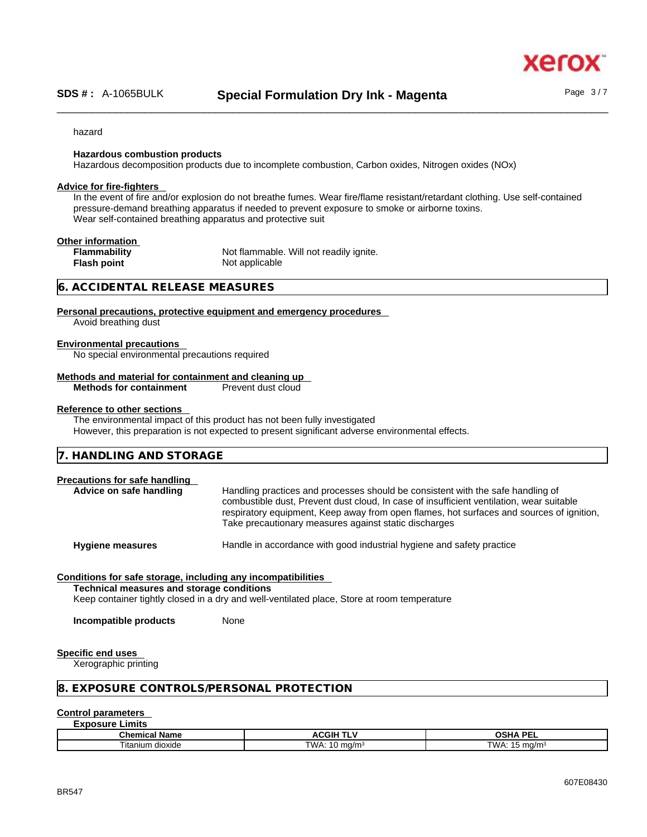xer

#### hazard

#### **Hazardous combustion products**

Hazardous decomposition products due to incomplete combustion, Carbon oxides, Nitrogen oxides (NOx)

#### **Advice for fire-fighters**

In the event of fire and/or explosion do not breathe fumes. Wear fire/flame resistant/retardant clothing. Use self-contained pressure-demand breathing apparatus if needed to prevent exposure to smoke or airborne toxins. Wear self-contained breathing apparatus and protective suit

| Other information   |                                         |
|---------------------|-----------------------------------------|
| <b>Flammability</b> | Not flammable. Will not readily ignite. |
| <b>Flash point</b>  | Not applicable                          |
|                     |                                         |

#### **6. ACCIDENTAL RELEASE MEASURES**

#### **Personal precautions, protective equipment and emergency procedures**

Avoid breathing dust

### **Environmental precautions**

No special environmental precautions required

#### **Methods and material for containment and cleaning up**

**Methods for containment** Prevent dust cloud

#### **Reference to other sections**

The environmental impact of this product has not been fully investigated However, this preparation is not expected to present significant adverse environmental effects.

#### **Precautions for safe handling**

**Advice on safe handling** Handling practices and processes should be consistent with the safe handling of combustible dust, Prevent dust cloud, In case of insufficient ventilation, wear suitable respiratory equipment, Keep away from open flames, hot surfaces and sources of ignition, Take precautionary measures against static discharges

**Hygiene measures** Handle in accordance with good industrial hygiene and safety practice

#### **Conditions for safe storage, including any incompatibilities**

**Technical measures and storage conditions**

Keep container tightly closed in a dry and well-ventilated place, Store at room temperature

**Incompatible products** None

#### **Specific end uses**

Xerographic printing

#### **8. EXPOSURE CONTROLS/PERSONAL PROTECTION**

#### **Control parameters**

#### **Exposure Limits**

| Chemical Name        | √CGIH<br>1 L                            | $OCHA$ DE'<br>⊣סי<br>-- |
|----------------------|-----------------------------------------|-------------------------|
| dioxide<br>ı itanıum | <b>TWA</b><br>.∪ ma/m <sup>3</sup><br>. | "WA.<br>ma/m            |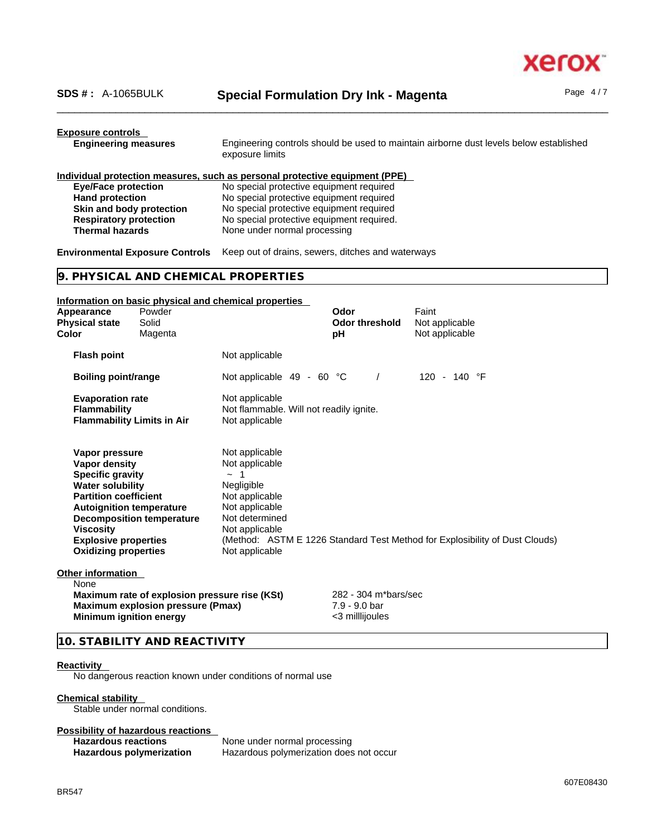

| <b>Exposure controls</b><br><b>Engineering measures</b><br>Engineering controls should be used to maintain airborne dust levels below established<br>exposure limits                                                                       |                                                                                           |                                                                                                                                                      |                                                                                                                                                                                                                                                              |                                                                             |  |
|--------------------------------------------------------------------------------------------------------------------------------------------------------------------------------------------------------------------------------------------|-------------------------------------------------------------------------------------------|------------------------------------------------------------------------------------------------------------------------------------------------------|--------------------------------------------------------------------------------------------------------------------------------------------------------------------------------------------------------------------------------------------------------------|-----------------------------------------------------------------------------|--|
| <b>Eye/Face protection</b><br><b>Hand protection</b><br>Skin and body protection<br><b>Respiratory protection</b><br><b>Thermal hazards</b>                                                                                                |                                                                                           | None under normal processing                                                                                                                         | Individual protection measures, such as personal protective equipment (PPE)<br>No special protective equipment required<br>No special protective equipment required<br>No special protective equipment required<br>No special protective equipment required. |                                                                             |  |
| <b>Environmental Exposure Controls</b>                                                                                                                                                                                                     |                                                                                           | Keep out of drains, sewers, ditches and waterways                                                                                                    |                                                                                                                                                                                                                                                              |                                                                             |  |
|                                                                                                                                                                                                                                            |                                                                                           | 9. PHYSICAL AND CHEMICAL PROPERTIES                                                                                                                  |                                                                                                                                                                                                                                                              |                                                                             |  |
|                                                                                                                                                                                                                                            |                                                                                           | Information on basic physical and chemical properties                                                                                                |                                                                                                                                                                                                                                                              |                                                                             |  |
| Appearance<br><b>Physical state</b><br>Color                                                                                                                                                                                               | Powder<br>Solid<br>Magenta                                                                |                                                                                                                                                      | Odor<br><b>Odor threshold</b><br>рH                                                                                                                                                                                                                          | Faint<br>Not applicable<br>Not applicable                                   |  |
| <b>Flash point</b>                                                                                                                                                                                                                         |                                                                                           | Not applicable                                                                                                                                       |                                                                                                                                                                                                                                                              |                                                                             |  |
| Boiling point/range                                                                                                                                                                                                                        |                                                                                           | Not applicable 49 - 60 °C                                                                                                                            | $\prime$                                                                                                                                                                                                                                                     | 120 - 140 $\degree$ F                                                       |  |
| <b>Evaporation rate</b><br><b>Flammability</b><br><b>Flammability Limits in Air</b>                                                                                                                                                        |                                                                                           | Not applicable<br>Not flammable. Will not readily ignite.<br>Not applicable                                                                          |                                                                                                                                                                                                                                                              |                                                                             |  |
| Vapor pressure<br><b>Vapor density</b><br><b>Specific gravity</b><br><b>Water solubility</b><br><b>Partition coefficient</b><br><b>Autoignition temperature</b><br>Viscosity<br><b>Explosive properties</b><br><b>Oxidizing properties</b> | <b>Decomposition temperature</b>                                                          | Not applicable<br>Not applicable<br>$\sim$ 1<br>Negligible<br>Not applicable<br>Not applicable<br>Not determined<br>Not applicable<br>Not applicable |                                                                                                                                                                                                                                                              | (Method: ASTM E 1226 Standard Test Method for Explosibility of Dust Clouds) |  |
| Other information<br>None<br><b>Minimum ignition energy</b>                                                                                                                                                                                | Maximum rate of explosion pressure rise (KSt)<br><b>Maximum explosion pressure (Pmax)</b> |                                                                                                                                                      | 282 - 304 m*bars/sec<br>7.9 - 9.0 bar<br><3 millijoules                                                                                                                                                                                                      |                                                                             |  |
|                                                                                                                                                                                                                                            | 10. STABILITY AND REACTIVITY                                                              |                                                                                                                                                      |                                                                                                                                                                                                                                                              |                                                                             |  |

#### **Reactivity**

No dangerous reaction known under conditions of normal use

#### **Chemical stability**

Stable under normal conditions.

# **Possibility of hazardous reactions**

**Hazardous reactions**<br> **Hazardous polymerization**<br>
Hazardous polymerization<br>
Hazardous polymerization does **Hazardous polymerization** Hazardous polymerization does not occur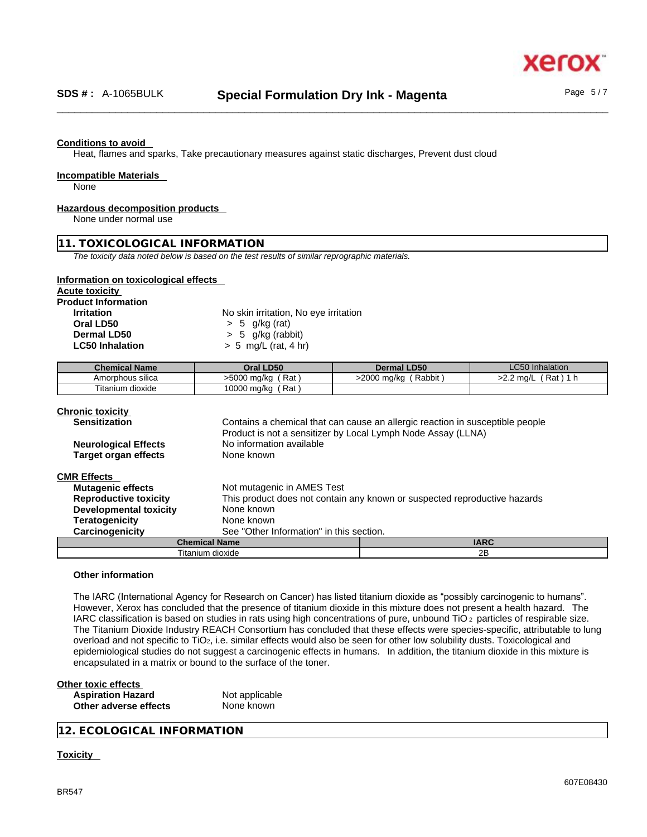Heat, flames and sparks, Take precautionary measures against static discharges, Prevent dust cloud

#### **Incompatible Materials**

None

#### **Hazardous decomposition products**

None under normal use

## **11. TOXICOLOGICAL INFORMATION**

*The toxicity data noted below is based on the test results of similar reprographic materials.* 

#### **Information on toxicological effects**

**Acute toxicity**

**Product Information**

| Irritation             |
|------------------------|
| Oral LD50              |
| Dermal LD50            |
| <b>LC50 Inhalation</b> |

**No skin irritation, No eye irritation Oral LD50** > 5 g/kg (rat) **Dermal LD50** > 5 g/kg (rabbit)

**LC50 Inhalation** > 5 mg/L (rat, 4 hr)

|                                                                        | LC5P<br>Inhalation       |
|------------------------------------------------------------------------|--------------------------|
| Rat<br>Rabbit<br>>5000 mg/kg<br>>2000 ma/ka<br>Amorphous silica<br>2.Z | Rat<br>ma/L <sup>ר</sup> |
| --<br>Rat<br>10000 mg/kg<br>Fitanium dioxide                           |                          |

| <b>Chronic toxicity</b><br><b>Sensitization</b> | Product is not a sensitizer by Local Lymph Node Assay (LLNA) | Contains a chemical that can cause an allergic reaction in susceptible people |  |  |
|-------------------------------------------------|--------------------------------------------------------------|-------------------------------------------------------------------------------|--|--|
| <b>Neurological Effects</b>                     | No information available                                     |                                                                               |  |  |
| <b>Target organ effects</b>                     | None known                                                   |                                                                               |  |  |
| <b>CMR Effects</b>                              |                                                              |                                                                               |  |  |
| <b>Mutagenic effects</b>                        | Not mutagenic in AMES Test                                   |                                                                               |  |  |
| <b>Reproductive toxicity</b>                    |                                                              | This product does not contain any known or suspected reproductive hazards     |  |  |
| <b>Developmental toxicity</b>                   | None known                                                   |                                                                               |  |  |
| <b>Teratogenicity</b>                           | None known                                                   |                                                                               |  |  |
| Carcinogenicity                                 | See "Other Information" in this section.                     |                                                                               |  |  |
| <b>Chemical Name</b>                            |                                                              | <b>IARC</b>                                                                   |  |  |
|                                                 | Titanium dioxide                                             | 2B                                                                            |  |  |

#### **Other information**

The IARC (International Agency for Research on Cancer) has listed titanium dioxide as "possibly carcinogenic to humans". However, Xerox has concluded that the presence of titanium dioxide in this mixture does not present a health hazard. The IARC classification is based on studies in rats using high concentrations of pure, unbound TiO 2 particles of respirable size. The Titanium Dioxide Industry REACH Consortium has concluded that these effects were species-specific, attributable to lung overload and not specific to TiO<sub>2</sub>, i.e. similar effects would also be seen for other low solubility dusts. Toxicological and epidemiological studies do not suggest a carcinogenic effects in humans. In addition, the titanium dioxide in this mixture is encapsulated in a matrix or bound to the surface of the toner.

| Other toxic effects      |                |  |
|--------------------------|----------------|--|
| <b>Aspiration Hazard</b> | Not applicable |  |
| Other adverse effects    | None known     |  |

**12. ECOLOGICAL INFORMATION** 

#### **Toxicity**

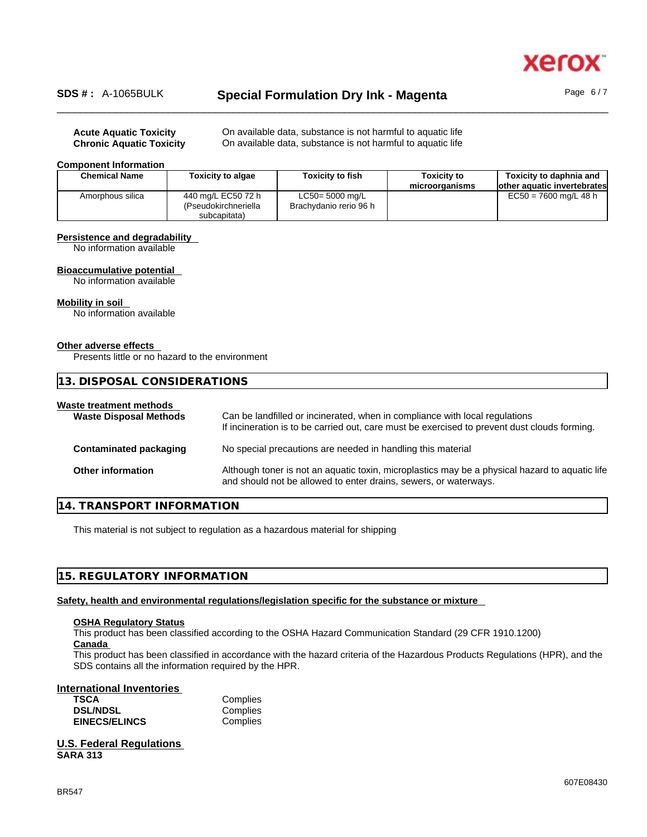

# \_\_\_\_\_\_\_\_\_\_\_\_\_\_\_\_\_\_\_\_\_\_\_\_\_\_\_\_\_\_\_\_\_\_\_\_\_\_\_\_\_\_\_\_\_\_\_\_\_\_\_\_\_\_\_\_\_\_\_\_\_\_\_\_\_\_\_\_\_\_\_\_\_\_\_\_\_\_\_\_\_\_\_\_\_\_\_\_\_\_\_\_\_\_ **SDS # :** A-1065BULK **Special Formulation Dry Ink - Magenta** Page 6 / 7

**Acute Aquatic Toxicity On available data, substance is not harmful to aquatic life Chronic Aquatic Toxicity** On available data, substance is not harmful to aquatic life

#### **Component Information**

| <b>Chemical Name</b> | <b>Toxicity to algae</b> | <b>Toxicity to fish</b> | <b>Toxicity to</b><br>microorganisms | Toxicity to daphnia and<br>lother aquatic invertebrates |
|----------------------|--------------------------|-------------------------|--------------------------------------|---------------------------------------------------------|
| Amorphous silica     | 440 mg/L EC50 72 h       | LC50= 5000 mg/L         |                                      | $EC50 = 7600$ mg/L 48 h                                 |
|                      | (Pseudokirchneriella     | Brachydanio rerio 96 h  |                                      |                                                         |
|                      | subcapitata)             |                         |                                      |                                                         |

#### **Persistence and degradability**

No information available

#### **Bioaccumulative potential**

No information available

# **Mobility in soil**

No information available

#### **Other adverse effects**

Presents little or no hazard to the environment

| 13. DISPOSAL CONSIDERATIONS                              |                                                                                                                                                                             |
|----------------------------------------------------------|-----------------------------------------------------------------------------------------------------------------------------------------------------------------------------|
| Waste treatment methods<br><b>Waste Disposal Methods</b> | Can be landfilled or incinerated, when in compliance with local regulations<br>If incineration is to be carried out, care must be exercised to prevent dust clouds forming. |
| <b>Contaminated packaging</b>                            | No special precautions are needed in handling this material                                                                                                                 |
| <b>Other information</b>                                 | Although toner is not an aquatic toxin, microplastics may be a physical hazard to aquatic life<br>and should not be allowed to enter drains, sewers, or waterways.          |

# **14. TRANSPORT INFORMATION**

This material is not subject to regulation as a hazardous material for shipping

## **15. REGULATORY INFORMATION**

**Safety, health and environmental regulations/legislation specific for the substance or mixture**

#### **OSHA Regulatory Status**

This product has been classified according to the OSHA Hazard Communication Standard (29 CFR 1910.1200) **Canada** 

This product has been classified in accordance with the hazard criteria of the Hazardous Products Regulations (HPR), and the SDS contains all the information required by the HPR.

#### **International Inventories**

| <b>TSCA</b>          | C٥ |
|----------------------|----|
| <b>DSL/NDSL</b>      | C٥ |
| <b>EINECS/ELINCS</b> | C٥ |

**TSCA** Complies omplies omplies

**U.S. Federal Regulations SARA 313**